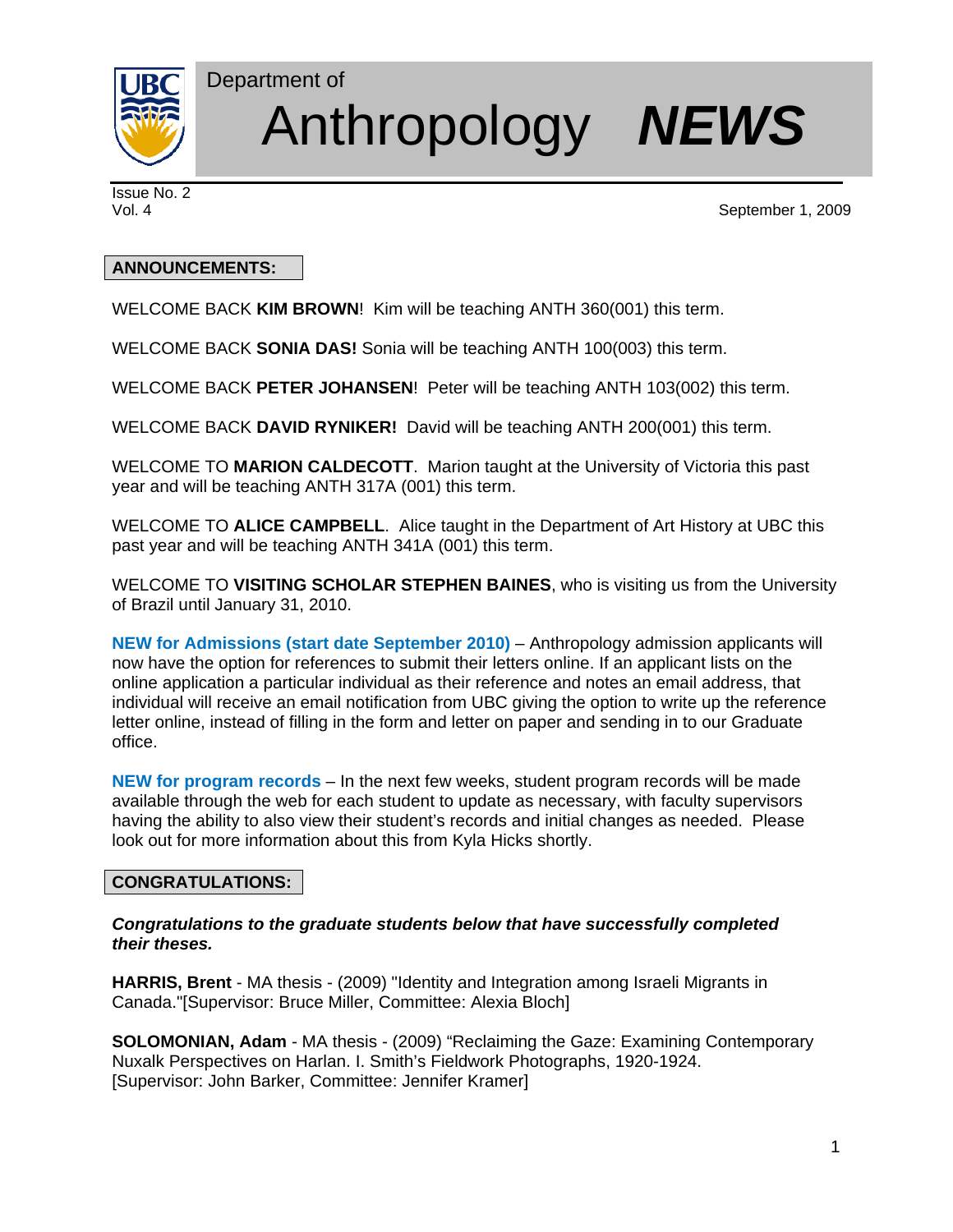

# Anthropology *NEWS*

Issue No. 2

Vol. 4 September 1, 2009

## **ANNOUNCEMENTS:**

Department of

WELCOME BACK **KIM BROWN**! Kim will be teaching ANTH 360(001) this term.

WELCOME BACK **SONIA DAS!** Sonia will be teaching ANTH 100(003) this term.

WELCOME BACK **PETER JOHANSEN**! Peter will be teaching ANTH 103(002) this term.

WELCOME BACK **DAVID RYNIKER!** David will be teaching ANTH 200(001) this term.

WELCOME TO **MARION CALDECOTT**. Marion taught at the University of Victoria this past year and will be teaching ANTH 317A (001) this term.

WELCOME TO **ALICE CAMPBELL**. Alice taught in the Department of Art History at UBC this past year and will be teaching ANTH 341A (001) this term.

WELCOME TO **VISITING SCHOLAR STEPHEN BAINES**, who is visiting us from the University of Brazil until January 31, 2010.

**NEW for Admissions (start date September 2010)** – Anthropology admission applicants will now have the option for references to submit their letters online. If an applicant lists on the online application a particular individual as their reference and notes an email address, that individual will receive an email notification from UBC giving the option to write up the reference letter online, instead of filling in the form and letter on paper and sending in to our Graduate office.

**NEW for program records** – In the next few weeks, student program records will be made available through the web for each student to update as necessary, with faculty supervisors having the ability to also view their student's records and initial changes as needed. Please look out for more information about this from Kyla Hicks shortly.

# **CONGRATULATIONS:**

## *Congratulations to the graduate students below that have successfully completed their theses.*

**HARRIS, Brent** - MA thesis - (2009) "Identity and Integration among Israeli Migrants in Canada."[Supervisor: Bruce Miller, Committee: Alexia Bloch]

**SOLOMONIAN, Adam** - MA thesis - (2009) "Reclaiming the Gaze: Examining Contemporary Nuxalk Perspectives on Harlan. I. Smith's Fieldwork Photographs, 1920-1924. [Supervisor: John Barker, Committee: Jennifer Kramer]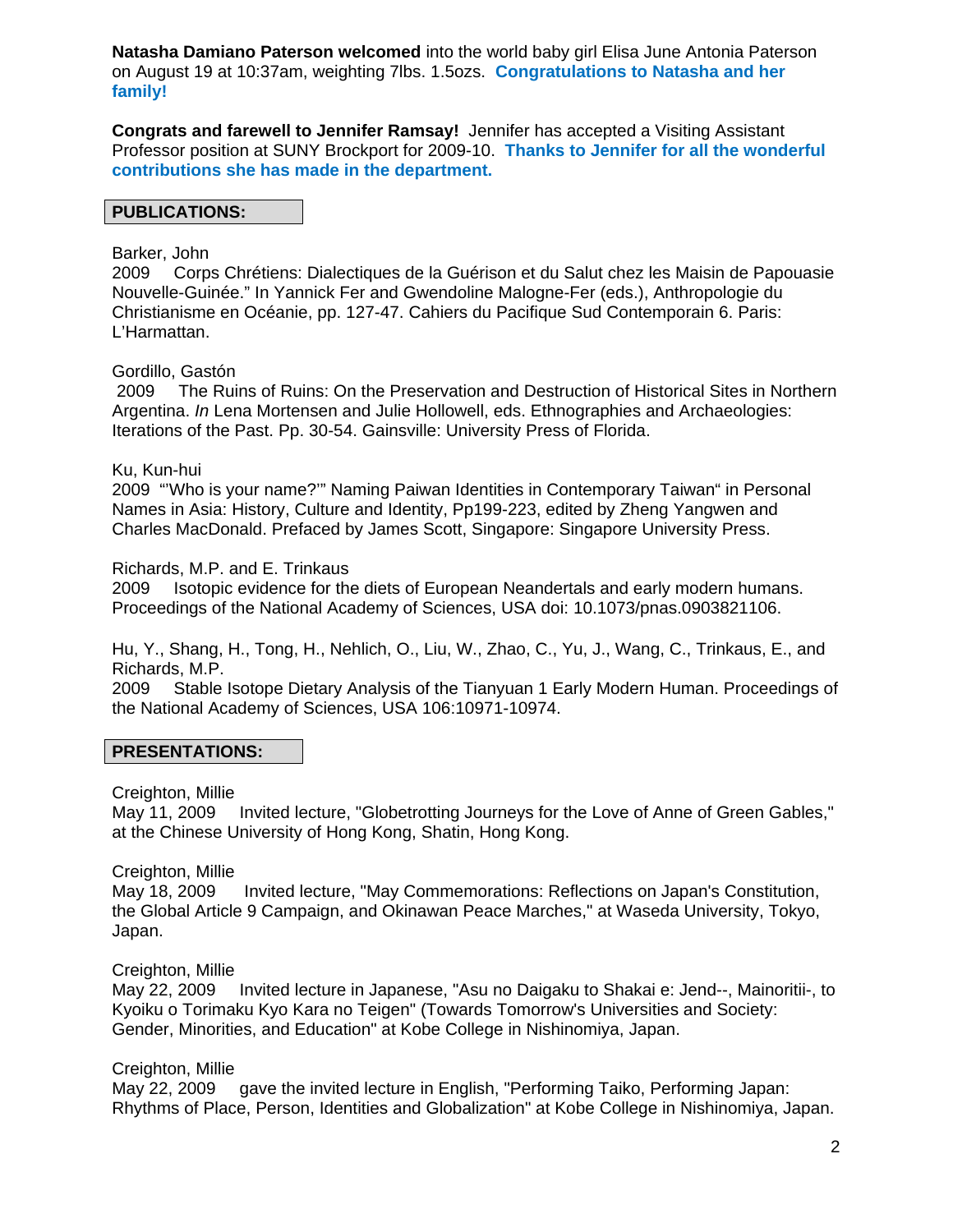**Natasha Damiano Paterson welcomed** into the world baby girl Elisa June Antonia Paterson on August 19 at 10:37am, weighting 7lbs. 1.5ozs. **Congratulations to Natasha and her family!** 

**Congrats and farewell to Jennifer Ramsay!** Jennifer has accepted a Visiting Assistant Professor position at SUNY Brockport for 2009-10. **Thanks to Jennifer for all the wonderful contributions she has made in the department.** 

## **PUBLICATIONS:**

## Barker, John

2009 Corps Chrétiens: Dialectiques de la Guérison et du Salut chez les Maisin de Papouasie Nouvelle-Guinée." In Yannick Fer and Gwendoline Malogne-Fer (eds.), Anthropologie du Christianisme en Océanie, pp. 127-47. Cahiers du Pacifique Sud Contemporain 6. Paris: L'Harmattan.

## Gordillo, Gastón

 2009 The Ruins of Ruins: On the Preservation and Destruction of Historical Sites in Northern Argentina. *In* Lena Mortensen and Julie Hollowell, eds. Ethnographies and Archaeologies: Iterations of the Past. Pp. 30-54. Gainsville: University Press of Florida.

## Ku, Kun-hui

2009 "'Who is your name?'" Naming Paiwan Identities in Contemporary Taiwan" in Personal Names in Asia: History, Culture and Identity, Pp199-223, edited by Zheng Yangwen and Charles MacDonald. Prefaced by James Scott, Singapore: Singapore University Press.

Richards, M.P. and E. Trinkaus

2009 Isotopic evidence for the diets of European Neandertals and early modern humans. Proceedings of the National Academy of Sciences, USA doi: 10.1073/pnas.0903821106.

Hu, Y., Shang, H., Tong, H., Nehlich, O., Liu, W., Zhao, C., Yu, J., Wang, C., Trinkaus, E., and Richards, M.P.

2009 Stable Isotope Dietary Analysis of the Tianyuan 1 Early Modern Human. Proceedings of the National Academy of Sciences, USA 106:10971-10974.

## **PRESENTATIONS:**

Creighton, Millie

May 11, 2009 Invited lecture, "Globetrotting Journeys for the Love of Anne of Green Gables," at the Chinese University of Hong Kong, Shatin, Hong Kong.

Creighton, Millie

May 18, 2009 Invited lecture, "May Commemorations: Reflections on Japan's Constitution, the Global Article 9 Campaign, and Okinawan Peace Marches," at Waseda University, Tokyo, Japan.

Creighton, Millie

May 22, 2009 Invited lecture in Japanese, "Asu no Daigaku to Shakai e: Jend--, Mainoritii-, to Kyoiku o Torimaku Kyo Kara no Teigen" (Towards Tomorrow's Universities and Society: Gender, Minorities, and Education" at Kobe College in Nishinomiya, Japan.

Creighton, Millie

May 22, 2009 gave the invited lecture in English, "Performing Taiko, Performing Japan: Rhythms of Place, Person, Identities and Globalization" at Kobe College in Nishinomiya, Japan.